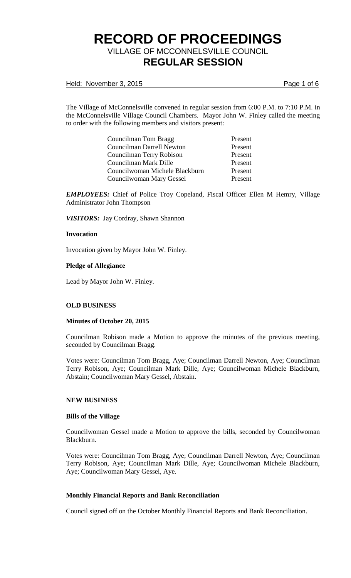Held: November 3, 2015 **Page 1 of 6** 

The Village of McConnelsville convened in regular session from 6:00 P.M. to 7:10 P.M. in the McConnelsville Village Council Chambers. Mayor John W. Finley called the meeting to order with the following members and visitors present:

| Councilman Tom Bragg           | Present |
|--------------------------------|---------|
| Councilman Darrell Newton      | Present |
| Councilman Terry Robison       | Present |
| Councilman Mark Dille          | Present |
| Councilwoman Michele Blackburn | Present |
| Councilwoman Mary Gessel       | Present |

*EMPLOYEES:* Chief of Police Troy Copeland, Fiscal Officer Ellen M Hemry, Village Administrator John Thompson

*VISITORS:* Jay Cordray, Shawn Shannon

## **Invocation**

Invocation given by Mayor John W. Finley.

## **Pledge of Allegiance**

Lead by Mayor John W. Finley.

# **OLD BUSINESS**

#### **Minutes of October 20, 2015**

Councilman Robison made a Motion to approve the minutes of the previous meeting, seconded by Councilman Bragg.

Votes were: Councilman Tom Bragg, Aye; Councilman Darrell Newton, Aye; Councilman Terry Robison, Aye; Councilman Mark Dille, Aye; Councilwoman Michele Blackburn, Abstain; Councilwoman Mary Gessel, Abstain.

#### **NEW BUSINESS**

#### **Bills of the Village**

Councilwoman Gessel made a Motion to approve the bills, seconded by Councilwoman Blackburn.

Votes were: Councilman Tom Bragg, Aye; Councilman Darrell Newton, Aye; Councilman Terry Robison, Aye; Councilman Mark Dille, Aye; Councilwoman Michele Blackburn, Aye; Councilwoman Mary Gessel, Aye.

# **Monthly Financial Reports and Bank Reconciliation**

Council signed off on the October Monthly Financial Reports and Bank Reconciliation.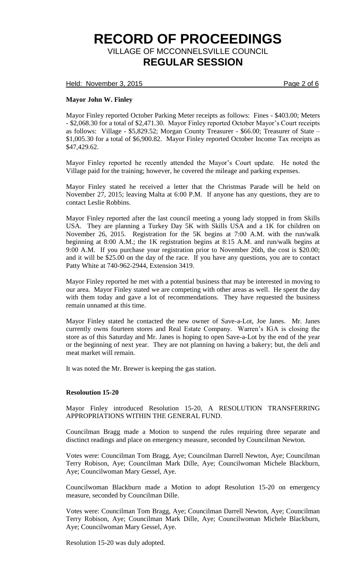Held: November 3, 2015 **Page 2 of 6** 

# **Mayor John W. Finley**

Mayor Finley reported October Parking Meter receipts as follows: Fines - \$403.00; Meters - \$2,068.30 for a total of \$2,471.30. Mayor Finley reported October Mayor's Court receipts as follows: Village - \$5,829.52; Morgan County Treasurer - \$66.00; Treasurer of State – \$1,005.30 for a total of \$6,900.82. Mayor Finley reported October Income Tax receipts as \$47,429.62.

Mayor Finley reported he recently attended the Mayor's Court update. He noted the Village paid for the training; however, he covered the mileage and parking expenses.

Mayor Finley stated he received a letter that the Christmas Parade will be held on November 27, 2015; leaving Malta at 6:00 P.M. If anyone has any questions, they are to contact Leslie Robbins.

Mayor Finley reported after the last council meeting a young lady stopped in from Skills USA. They are planning a Turkey Day 5K with Skills USA and a 1K for children on November 26, 2015. Registration for the 5K begins at 7:00 A.M. with the run/walk beginning at 8:00 A.M.; the 1K registration begins at 8:15 A.M. and run/walk begins at 9:00 A.M. If you purchase your registration prior to November 26th, the cost is \$20.00; and it will be \$25.00 on the day of the race. If you have any questions, you are to contact Patty White at 740-962-2944, Extension 3419.

Mayor Finley reported he met with a potential business that may be interested in moving to our area. Mayor Finley stated we are competing with other areas as well. He spent the day with them today and gave a lot of recommendations. They have requested the business remain unnamed at this time.

Mayor Finley stated he contacted the new owner of Save-a-Lot, Joe Janes. Mr. Janes currently owns fourteen stores and Real Estate Company. Warren's IGA is closing the store as of this Saturday and Mr. Janes is hoping to open Save-a-Lot by the end of the year or the beginning of next year. They are not planning on having a bakery; but, the deli and meat market will remain.

It was noted the Mr. Brewer is keeping the gas station.

#### **Resoloution 15-20**

Mayor Finley introduced Resolution 15-20, A RESOLUTION TRANSFERRING APPROPRIATIONS WITHIN THE GENERAL FUND.

Councilman Bragg made a Motion to suspend the rules requiring three separate and disctinct readings and place on emergency measure, seconded by Councilman Newton.

Votes were: Councilman Tom Bragg, Aye; Councilman Darrell Newton, Aye; Councilman Terry Robison, Aye; Councilman Mark Dille, Aye; Councilwoman Michele Blackburn, Aye; Councilwoman Mary Gessel, Aye.

Councilwoman Blackburn made a Motion to adopt Resolution 15-20 on emergency measure, seconded by Councilman Dille.

Votes were: Councilman Tom Bragg, Aye; Councilman Darrell Newton, Aye; Councilman Terry Robison, Aye; Councilman Mark Dille, Aye; Councilwoman Michele Blackburn, Aye; Councilwoman Mary Gessel, Aye.

Resolution 15-20 was duly adopted.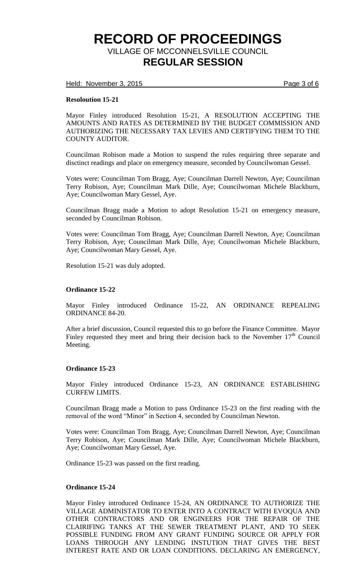Held: November 3, 2015 **Page 3 of 6** 

## **Resoloution 15-21**

Mayor Finley introduced Resolution 15-21, A RESOLUTION ACCEPTING THE AMOUNTS AND RATES AS DETERMINED BY THE BUDGET COMMISSION AND AUTHORIZING THE NECESSARY TAX LEVIES AND CERTIFYING THEM TO THE COUNTY AUDITOR.

Councilman Robison made a Motion to suspend the rules requiring three separate and disctinct readings and place on emergency measure, seconded by Councilwoman Gessel.

Votes were: Councilman Tom Bragg, Aye; Councilman Darrell Newton, Aye; Councilman Terry Robison, Aye; Councilman Mark Dille, Aye; Councilwoman Michele Blackburn, Aye; Councilwoman Mary Gessel, Aye.

Councilman Bragg made a Motion to adopt Resolution 15-21 on emergency measure, seconded by Councilman Robison.

Votes were: Councilman Tom Bragg, Aye; Councilman Darrell Newton, Aye; Councilman Terry Robison, Aye; Councilman Mark Dille, Aye; Councilwoman Michele Blackburn, Aye; Councilwoman Mary Gessel, Aye.

Resolution 15-21 was duly adopted.

#### **Ordinance 15-22**

Mayor Finley introduced Ordinance 15-22, AN ORDINANCE REPEALING ORDINANCE 84-20.

After a brief discussion, Council requested this to go before the Finance Committee. Mayor Finley requested they meet and bring their decision back to the November  $17<sup>th</sup>$  Council Meeting.

### **Ordinance 15-23**

Mayor Finley introduced Ordinance 15-23, AN ORDINANCE ESTABLISHING CURFEW LIMITS.

Councilman Bragg made a Motion to pass Ordinance 15-23 on the first reading with the removal of the word "Minor" in Section 4, seconded by Councilman Newton.

Votes were: Councilman Tom Bragg, Aye; Councilman Darrell Newton, Aye; Councilman Terry Robison, Aye; Councilman Mark Dille, Aye; Councilwoman Michele Blackburn, Aye; Councilwoman Mary Gessel, Aye.

Ordinance 15-23 was passed on the first reading.

#### **Ordinance 15-24**

Mayor Finley introduced Ordinance 15-24, AN ORDINANCE TO AUTHORIZE THE VILLAGE ADMINISTATOR TO ENTER INTO A CONTRACT WITH EVOQUA AND OTHER CONTRACTORS AND OR ENGINEERS FOR THE REPAIR OF THE CLAIRIFING TANKS AT THE SEWER TREATMENT PLANT, AND TO SEEK POSSIBLE FUNDING FROM ANY GRANT FUNDING SOURCE OR APPLY FOR LOANS THROUGH ANY LENDING INSTUTION THAT GIVES THE BEST INTEREST RATE AND OR LOAN CONDITIONS. DECLARING AN EMERGENCY,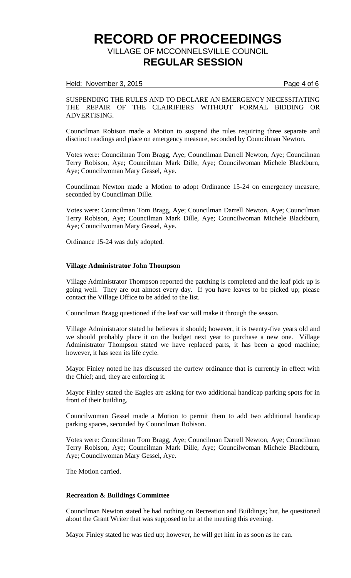#### Held: November 3, 2015 **Page 4 of 6**

## SUSPENDING THE RULES AND TO DECLARE AN EMERGENCY NECESSITATING THE REPAIR OF THE CLAIRIFIERS WITHOUT FORMAL BIDDING OR ADVERTISING.

Councilman Robison made a Motion to suspend the rules requiring three separate and disctinct readings and place on emergency measure, seconded by Councilman Newton.

Votes were: Councilman Tom Bragg, Aye; Councilman Darrell Newton, Aye; Councilman Terry Robison, Aye; Councilman Mark Dille, Aye; Councilwoman Michele Blackburn, Aye; Councilwoman Mary Gessel, Aye.

Councilman Newton made a Motion to adopt Ordinance 15-24 on emergency measure, seconded by Councilman Dille.

Votes were: Councilman Tom Bragg, Aye; Councilman Darrell Newton, Aye; Councilman Terry Robison, Aye; Councilman Mark Dille, Aye; Councilwoman Michele Blackburn, Aye; Councilwoman Mary Gessel, Aye.

Ordinance 15-24 was duly adopted.

## **Village Administrator John Thompson**

Village Administrator Thompson reported the patching is completed and the leaf pick up is going well. They are out almost every day. If you have leaves to be picked up; please contact the Village Office to be added to the list.

Councilman Bragg questioned if the leaf vac will make it through the season.

Village Administrator stated he believes it should; however, it is twenty-five years old and we should probably place it on the budget next year to purchase a new one. Village Administrator Thompson stated we have replaced parts, it has been a good machine; however, it has seen its life cycle.

Mayor Finley noted he has discussed the curfew ordinance that is currently in effect with the Chief; and, they are enforcing it.

Mayor Finley stated the Eagles are asking for two additional handicap parking spots for in front of their building.

Councilwoman Gessel made a Motion to permit them to add two additional handicap parking spaces, seconded by Councilman Robison.

Votes were: Councilman Tom Bragg, Aye; Councilman Darrell Newton, Aye; Councilman Terry Robison, Aye; Councilman Mark Dille, Aye; Councilwoman Michele Blackburn, Aye; Councilwoman Mary Gessel, Aye.

The Motion carried.

#### **Recreation & Buildings Committee**

Councilman Newton stated he had nothing on Recreation and Buildings; but, he questioned about the Grant Writer that was supposed to be at the meeting this evening.

Mayor Finley stated he was tied up; however, he will get him in as soon as he can.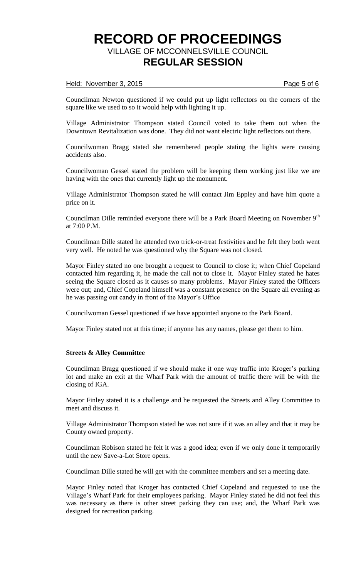## Held: November 3, 2015 **Page 5 of 6**

Councilman Newton questioned if we could put up light reflectors on the corners of the square like we used to so it would help with lighting it up.

Village Administrator Thompson stated Council voted to take them out when the Downtown Revitalization was done. They did not want electric light reflectors out there.

Councilwoman Bragg stated she remembered people stating the lights were causing accidents also.

Councilwoman Gessel stated the problem will be keeping them working just like we are having with the ones that currently light up the monument.

Village Administrator Thompson stated he will contact Jim Eppley and have him quote a price on it.

Councilman Dille reminded everyone there will be a Park Board Meeting on November 9<sup>th</sup> at 7:00 P.M.

Councilman Dille stated he attended two trick-or-treat festivities and he felt they both went very well. He noted he was questioned why the Square was not closed.

Mayor Finley stated no one brought a request to Council to close it; when Chief Copeland contacted him regarding it, he made the call not to close it. Mayor Finley stated he hates seeing the Square closed as it causes so many problems. Mayor Finley stated the Officers were out; and, Chief Copeland himself was a constant presence on the Square all evening as he was passing out candy in front of the Mayor's Office

Councilwoman Gessel questioned if we have appointed anyone to the Park Board.

Mayor Finley stated not at this time; if anyone has any names, please get them to him.

#### **Streets & Alley Committee**

Councilman Bragg questioned if we should make it one way traffic into Kroger's parking lot and make an exit at the Wharf Park with the amount of traffic there will be with the closing of IGA.

Mayor Finley stated it is a challenge and he requested the Streets and Alley Committee to meet and discuss it.

Village Administrator Thompson stated he was not sure if it was an alley and that it may be County owned property.

Councilman Robison stated he felt it was a good idea; even if we only done it temporarily until the new Save-a-Lot Store opens.

Councilman Dille stated he will get with the committee members and set a meeting date.

Mayor Finley noted that Kroger has contacted Chief Copeland and requested to use the Village's Wharf Park for their employees parking. Mayor Finley stated he did not feel this was necessary as there is other street parking they can use; and, the Wharf Park was designed for recreation parking.